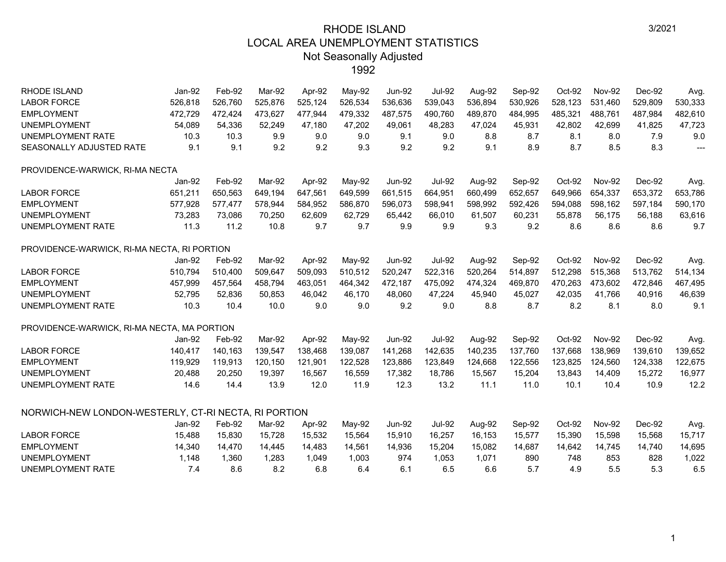| <b>RHODE ISLAND</b>                                  | $Jan-92$ | Feb-92  | Mar-92  | Apr-92  | May-92  | <b>Jun-92</b> | <b>Jul-92</b> | Aug-92  | Sep-92  | Oct-92  | <b>Nov-92</b> | Dec-92  | Avg.           |
|------------------------------------------------------|----------|---------|---------|---------|---------|---------------|---------------|---------|---------|---------|---------------|---------|----------------|
| <b>LABOR FORCE</b>                                   | 526,818  | 526.760 | 525,876 | 525.124 | 526,534 | 536,636       | 539,043       | 536,894 | 530,926 | 528.123 | 531.460       | 529,809 | 530,333        |
| <b>EMPLOYMENT</b>                                    | 472,729  | 472,424 | 473,627 | 477,944 | 479,332 | 487,575       | 490,760       | 489,870 | 484,995 | 485,321 | 488,761       | 487,984 | 482,610        |
| <b>UNEMPLOYMENT</b>                                  | 54,089   | 54,336  | 52,249  | 47,180  | 47,202  | 49,061        | 48,283        | 47,024  | 45,931  | 42,802  | 42,699        | 41,825  | 47,723         |
| UNEMPLOYMENT RATE                                    | 10.3     | 10.3    | 9.9     | 9.0     | 9.0     | 9.1           | 9.0           | 8.8     | 8.7     | 8.1     | 8.0           | 7.9     | 9.0            |
| SEASONALLY ADJUSTED RATE                             | 9.1      | 9.1     | 9.2     | 9.2     | 9.3     | 9.2           | 9.2           | 9.1     | 8.9     | 8.7     | 8.5           | 8.3     | $\overline{a}$ |
| PROVIDENCE-WARWICK, RI-MA NECTA                      |          |         |         |         |         |               |               |         |         |         |               |         |                |
|                                                      | Jan-92   | Feb-92  | Mar-92  | Apr-92  | May-92  | <b>Jun-92</b> | <b>Jul-92</b> | Aug-92  | Sep-92  | Oct-92  | <b>Nov-92</b> | Dec-92  | Avg.           |
| <b>LABOR FORCE</b>                                   | 651.211  | 650,563 | 649.194 | 647.561 | 649,599 | 661,515       | 664.951       | 660,499 | 652,657 | 649,966 | 654,337       | 653,372 | 653,786        |
| <b>EMPLOYMENT</b>                                    | 577,928  | 577,477 | 578,944 | 584,952 | 586,870 | 596,073       | 598,941       | 598,992 | 592,426 | 594,088 | 598,162       | 597,184 | 590,170        |
| <b>UNEMPLOYMENT</b>                                  | 73,283   | 73,086  | 70,250  | 62,609  | 62,729  | 65,442        | 66,010        | 61,507  | 60,231  | 55,878  | 56,175        | 56,188  | 63,616         |
| UNEMPLOYMENT RATE                                    | 11.3     | 11.2    | 10.8    | 9.7     | 9.7     | 9.9           | 9.9           | 9.3     | 9.2     | 8.6     | 8.6           | 8.6     | 9.7            |
| PROVIDENCE-WARWICK, RI-MA NECTA, RI PORTION          |          |         |         |         |         |               |               |         |         |         |               |         |                |
|                                                      | $Jan-92$ | Feb-92  | Mar-92  | Apr-92  | May-92  | <b>Jun-92</b> | <b>Jul-92</b> | Aug-92  | Sep-92  | Oct-92  | <b>Nov-92</b> | Dec-92  | Avg.           |
| <b>LABOR FORCE</b>                                   | 510,794  | 510,400 | 509,647 | 509,093 | 510,512 | 520,247       | 522,316       | 520,264 | 514,897 | 512,298 | 515,368       | 513,762 | 514,134        |
| <b>EMPLOYMENT</b>                                    | 457,999  | 457,564 | 458.794 | 463.051 | 464,342 | 472,187       | 475.092       | 474,324 | 469,870 | 470,263 | 473.602       | 472,846 | 467,495        |
| <b>UNEMPLOYMENT</b>                                  | 52,795   | 52,836  | 50,853  | 46,042  | 46,170  | 48,060        | 47,224        | 45,940  | 45,027  | 42,035  | 41,766        | 40,916  | 46,639         |
| UNEMPLOYMENT RATE                                    | 10.3     | 10.4    | 10.0    | 9.0     | 9.0     | 9.2           | 9.0           | 8.8     | 8.7     | 8.2     | 8.1           | 8.0     | 9.1            |
| PROVIDENCE-WARWICK, RI-MA NECTA, MA PORTION          |          |         |         |         |         |               |               |         |         |         |               |         |                |
|                                                      | Jan-92   | Feb-92  | Mar-92  | Apr-92  | May-92  | <b>Jun-92</b> | <b>Jul-92</b> | Aug-92  | Sep-92  | Oct-92  | <b>Nov-92</b> | Dec-92  | Avg.           |
| <b>LABOR FORCE</b>                                   | 140,417  | 140,163 | 139.547 | 138,468 | 139,087 | 141,268       | 142,635       | 140,235 | 137,760 | 137,668 | 138,969       | 139,610 | 139,652        |
| <b>EMPLOYMENT</b>                                    | 119,929  | 119,913 | 120,150 | 121,901 | 122,528 | 123,886       | 123,849       | 124,668 | 122,556 | 123,825 | 124,560       | 124,338 | 122,675        |
| <b>UNEMPLOYMENT</b>                                  | 20,488   | 20,250  | 19.397  | 16,567  | 16,559  | 17,382        | 18,786        | 15,567  | 15,204  | 13,843  | 14,409        | 15,272  | 16,977         |
| UNEMPLOYMENT RATE                                    | 14.6     | 14.4    | 13.9    | 12.0    | 11.9    | 12.3          | 13.2          | 11.1    | 11.0    | 10.1    | 10.4          | 10.9    | 12.2           |
| NORWICH-NEW LONDON-WESTERLY, CT-RI NECTA, RI PORTION |          |         |         |         |         |               |               |         |         |         |               |         |                |
|                                                      | Jan-92   | Feb-92  | Mar-92  | Apr-92  | May-92  | <b>Jun-92</b> | <b>Jul-92</b> | Aug-92  | Sep-92  | Oct-92  | <b>Nov-92</b> | Dec-92  | Avg.           |
| <b>LABOR FORCE</b>                                   | 15,488   | 15,830  | 15,728  | 15,532  | 15,564  | 15,910        | 16,257        | 16,153  | 15,577  | 15,390  | 15,598        | 15,568  | 15,717         |
| <b>EMPLOYMENT</b>                                    | 14,340   | 14,470  | 14,445  | 14,483  | 14,561  | 14,936        | 15,204        | 15,082  | 14,687  | 14,642  | 14,745        | 14,740  | 14,695         |
| <b>UNEMPLOYMENT</b>                                  | 1,148    | 1,360   | 1,283   | 1,049   | 1,003   | 974           | 1,053         | 1,071   | 890     | 748     | 853           | 828     | 1,022          |
| UNEMPLOYMENT RATE                                    | 7.4      | 8.6     | 8.2     | 6.8     | 6.4     | 6.1           | 6.5           | 6.6     | 5.7     | 4.9     | 5.5           | 5.3     | 6.5            |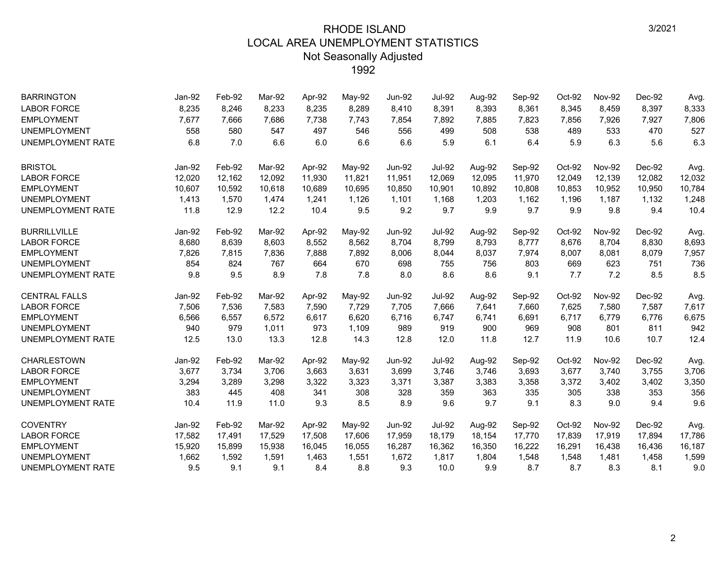| <b>BARRINGTON</b>        | Jan-92 | Feb-92 | Mar-92 | Apr-92 | May-92 | <b>Jun-92</b> | <b>Jul-92</b> | Aug-92 | Sep-92 | Oct-92 | <b>Nov-92</b> | Dec-92 | Avg.   |
|--------------------------|--------|--------|--------|--------|--------|---------------|---------------|--------|--------|--------|---------------|--------|--------|
| <b>LABOR FORCE</b>       | 8,235  | 8,246  | 8,233  | 8,235  | 8,289  | 8,410         | 8,391         | 8,393  | 8,361  | 8,345  | 8,459         | 8,397  | 8,333  |
| <b>EMPLOYMENT</b>        | 7,677  | 7,666  | 7,686  | 7,738  | 7,743  | 7,854         | 7,892         | 7,885  | 7,823  | 7,856  | 7,926         | 7,927  | 7,806  |
| <b>UNEMPLOYMENT</b>      | 558    | 580    | 547    | 497    | 546    | 556           | 499           | 508    | 538    | 489    | 533           | 470    | 527    |
| <b>UNEMPLOYMENT RATE</b> | 6.8    | 7.0    | 6.6    | 6.0    | 6.6    | 6.6           | 5.9           | 6.1    | 6.4    | 5.9    | 6.3           | 5.6    | 6.3    |
| <b>BRISTOL</b>           | Jan-92 | Feb-92 | Mar-92 | Apr-92 | May-92 | <b>Jun-92</b> | <b>Jul-92</b> | Aug-92 | Sep-92 | Oct-92 | <b>Nov-92</b> | Dec-92 | Avg.   |
| <b>LABOR FORCE</b>       | 12,020 | 12,162 | 12,092 | 11,930 | 11,821 | 11,951        | 12,069        | 12,095 | 11,970 | 12,049 | 12,139        | 12,082 | 12,032 |
| <b>EMPLOYMENT</b>        | 10,607 | 10,592 | 10,618 | 10,689 | 10,695 | 10,850        | 10,901        | 10,892 | 10,808 | 10,853 | 10,952        | 10,950 | 10,784 |
| <b>UNEMPLOYMENT</b>      | 1,413  | 1,570  | 1.474  | 1,241  | 1,126  | 1,101         | 1,168         | 1,203  | 1,162  | 1,196  | 1,187         | 1,132  | 1,248  |
| <b>UNEMPLOYMENT RATE</b> | 11.8   | 12.9   | 12.2   | 10.4   | 9.5    | 9.2           | 9.7           | 9.9    | 9.7    | 9.9    | 9.8           | 9.4    | 10.4   |
| <b>BURRILLVILLE</b>      | Jan-92 | Feb-92 | Mar-92 | Apr-92 | May-92 | <b>Jun-92</b> | <b>Jul-92</b> | Aug-92 | Sep-92 | Oct-92 | <b>Nov-92</b> | Dec-92 | Avg.   |
| <b>LABOR FORCE</b>       | 8,680  | 8,639  | 8,603  | 8,552  | 8,562  | 8,704         | 8,799         | 8,793  | 8,777  | 8,676  | 8,704         | 8,830  | 8,693  |
| <b>EMPLOYMENT</b>        | 7,826  | 7,815  | 7,836  | 7,888  | 7,892  | 8,006         | 8,044         | 8,037  | 7,974  | 8,007  | 8,081         | 8,079  | 7,957  |
| <b>UNEMPLOYMENT</b>      | 854    | 824    | 767    | 664    | 670    | 698           | 755           | 756    | 803    | 669    | 623           | 751    | 736    |
| <b>UNEMPLOYMENT RATE</b> | 9.8    | 9.5    | 8.9    | 7.8    | 7.8    | 8.0           | 8.6           | 8.6    | 9.1    | 7.7    | 7.2           | 8.5    | 8.5    |
| <b>CENTRAL FALLS</b>     | Jan-92 | Feb-92 | Mar-92 | Apr-92 | May-92 | <b>Jun-92</b> | <b>Jul-92</b> | Aug-92 | Sep-92 | Oct-92 | <b>Nov-92</b> | Dec-92 | Avg.   |
| <b>LABOR FORCE</b>       | 7,506  | 7,536  | 7,583  | 7,590  | 7,729  | 7,705         | 7,666         | 7,641  | 7,660  | 7,625  | 7,580         | 7,587  | 7,617  |
| <b>EMPLOYMENT</b>        | 6,566  | 6,557  | 6,572  | 6,617  | 6,620  | 6,716         | 6,747         | 6,741  | 6,691  | 6,717  | 6,779         | 6,776  | 6,675  |
| <b>UNEMPLOYMENT</b>      | 940    | 979    | 1,011  | 973    | 1,109  | 989           | 919           | 900    | 969    | 908    | 801           | 811    | 942    |
| <b>UNEMPLOYMENT RATE</b> | 12.5   | 13.0   | 13.3   | 12.8   | 14.3   | 12.8          | 12.0          | 11.8   | 12.7   | 11.9   | 10.6          | 10.7   | 12.4   |
| <b>CHARLESTOWN</b>       | Jan-92 | Feb-92 | Mar-92 | Apr-92 | May-92 | <b>Jun-92</b> | <b>Jul-92</b> | Aug-92 | Sep-92 | Oct-92 | <b>Nov-92</b> | Dec-92 | Avg.   |
| <b>LABOR FORCE</b>       | 3,677  | 3,734  | 3,706  | 3,663  | 3,631  | 3,699         | 3,746         | 3,746  | 3,693  | 3,677  | 3,740         | 3,755  | 3,706  |
| <b>EMPLOYMENT</b>        | 3,294  | 3,289  | 3,298  | 3,322  | 3,323  | 3,371         | 3,387         | 3,383  | 3,358  | 3,372  | 3,402         | 3,402  | 3,350  |
| <b>UNEMPLOYMENT</b>      | 383    | 445    | 408    | 341    | 308    | 328           | 359           | 363    | 335    | 305    | 338           | 353    | 356    |
| UNEMPLOYMENT RATE        | 10.4   | 11.9   | 11.0   | 9.3    | 8.5    | 8.9           | 9.6           | 9.7    | 9.1    | 8.3    | 9.0           | 9.4    | 9.6    |
| <b>COVENTRY</b>          | Jan-92 | Feb-92 | Mar-92 | Apr-92 | May-92 | <b>Jun-92</b> | <b>Jul-92</b> | Aug-92 | Sep-92 | Oct-92 | <b>Nov-92</b> | Dec-92 | Avg.   |
| <b>LABOR FORCE</b>       | 17,582 | 17,491 | 17,529 | 17,508 | 17,606 | 17,959        | 18,179        | 18,154 | 17,770 | 17,839 | 17,919        | 17,894 | 17,786 |
| <b>EMPLOYMENT</b>        | 15,920 | 15,899 | 15,938 | 16,045 | 16,055 | 16,287        | 16,362        | 16,350 | 16,222 | 16,291 | 16,438        | 16,436 | 16,187 |
| <b>UNEMPLOYMENT</b>      | 1,662  | 1,592  | 1,591  | 1,463  | 1,551  | 1,672         | 1,817         | 1,804  | 1,548  | 1,548  | 1,481         | 1,458  | 1,599  |
| <b>UNEMPLOYMENT RATE</b> | 9.5    | 9.1    | 9.1    | 8.4    | 8.8    | 9.3           | 10.0          | 9.9    | 8.7    | 8.7    | 8.3           | 8.1    | 9.0    |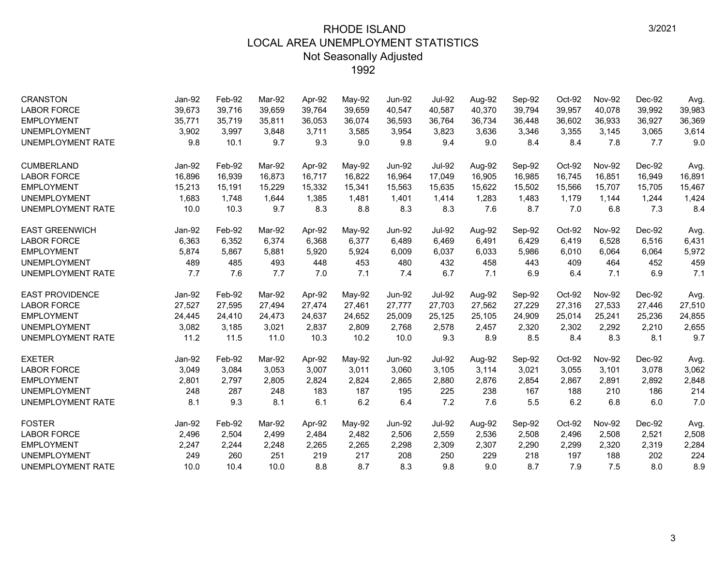| <b>CRANSTON</b>          | Jan-92 | Feb-92 | Mar-92 | Apr-92 | May-92 | <b>Jun-92</b> | <b>Jul-92</b> | Aug-92 | Sep-92 | Oct-92 | <b>Nov-92</b> | Dec-92 | Avg.   |
|--------------------------|--------|--------|--------|--------|--------|---------------|---------------|--------|--------|--------|---------------|--------|--------|
| <b>LABOR FORCE</b>       | 39,673 | 39,716 | 39.659 | 39,764 | 39,659 | 40,547        | 40.587        | 40,370 | 39,794 | 39,957 | 40,078        | 39,992 | 39,983 |
| <b>EMPLOYMENT</b>        | 35,771 | 35,719 | 35,811 | 36,053 | 36,074 | 36,593        | 36,764        | 36,734 | 36,448 | 36,602 | 36,933        | 36,927 | 36,369 |
| <b>UNEMPLOYMENT</b>      | 3,902  | 3,997  | 3.848  | 3,711  | 3,585  | 3.954         | 3,823         | 3.636  | 3,346  | 3,355  | 3,145         | 3,065  | 3,614  |
| <b>UNEMPLOYMENT RATE</b> | 9.8    | 10.1   | 9.7    | 9.3    | 9.0    | 9.8           | 9.4           | 9.0    | 8.4    | 8.4    | 7.8           | 7.7    | 9.0    |
| <b>CUMBERLAND</b>        | Jan-92 | Feb-92 | Mar-92 | Apr-92 | May-92 | <b>Jun-92</b> | <b>Jul-92</b> | Aug-92 | Sep-92 | Oct-92 | <b>Nov-92</b> | Dec-92 | Avg.   |
| <b>LABOR FORCE</b>       | 16,896 | 16,939 | 16,873 | 16,717 | 16,822 | 16,964        | 17,049        | 16,905 | 16,985 | 16,745 | 16,851        | 16,949 | 16,891 |
| <b>EMPLOYMENT</b>        | 15,213 | 15,191 | 15.229 | 15,332 | 15,341 | 15,563        | 15,635        | 15,622 | 15,502 | 15,566 | 15,707        | 15,705 | 15,467 |
| <b>UNEMPLOYMENT</b>      | 1,683  | 1,748  | 1,644  | 1,385  | 1,481  | 1,401         | 1,414         | 1,283  | 1,483  | 1,179  | 1,144         | 1,244  | 1,424  |
| <b>UNEMPLOYMENT RATE</b> | 10.0   | 10.3   | 9.7    | 8.3    | 8.8    | 8.3           | 8.3           | 7.6    | 8.7    | 7.0    | 6.8           | 7.3    | 8.4    |
| <b>EAST GREENWICH</b>    | Jan-92 | Feb-92 | Mar-92 | Apr-92 | May-92 | <b>Jun-92</b> | <b>Jul-92</b> | Aug-92 | Sep-92 | Oct-92 | <b>Nov-92</b> | Dec-92 | Avg.   |
| <b>LABOR FORCE</b>       | 6,363  | 6,352  | 6,374  | 6,368  | 6,377  | 6,489         | 6,469         | 6,491  | 6,429  | 6,419  | 6,528         | 6,516  | 6,431  |
| <b>EMPLOYMENT</b>        | 5,874  | 5,867  | 5,881  | 5,920  | 5,924  | 6,009         | 6,037         | 6,033  | 5,986  | 6,010  | 6,064         | 6,064  | 5,972  |
| <b>UNEMPLOYMENT</b>      | 489    | 485    | 493    | 448    | 453    | 480           | 432           | 458    | 443    | 409    | 464           | 452    | 459    |
| <b>UNEMPLOYMENT RATE</b> | 7.7    | 7.6    | 7.7    | 7.0    | 7.1    | 7.4           | 6.7           | 7.1    | 6.9    | 6.4    | 7.1           | 6.9    | 7.1    |
| <b>EAST PROVIDENCE</b>   | Jan-92 | Feb-92 | Mar-92 | Apr-92 | May-92 | <b>Jun-92</b> | <b>Jul-92</b> | Aug-92 | Sep-92 | Oct-92 | <b>Nov-92</b> | Dec-92 | Avg.   |
| <b>LABOR FORCE</b>       | 27,527 | 27,595 | 27,494 | 27,474 | 27,461 | 27,777        | 27,703        | 27,562 | 27,229 | 27,316 | 27,533        | 27,446 | 27,510 |
| <b>EMPLOYMENT</b>        | 24,445 | 24,410 | 24,473 | 24,637 | 24,652 | 25,009        | 25,125        | 25,105 | 24,909 | 25,014 | 25,241        | 25,236 | 24,855 |
| <b>UNEMPLOYMENT</b>      | 3,082  | 3,185  | 3,021  | 2,837  | 2,809  | 2,768         | 2,578         | 2,457  | 2,320  | 2,302  | 2,292         | 2,210  | 2,655  |
| UNEMPLOYMENT RATE        | 11.2   | 11.5   | 11.0   | 10.3   | 10.2   | 10.0          | 9.3           | 8.9    | 8.5    | 8.4    | 8.3           | 8.1    | 9.7    |
| <b>EXETER</b>            | Jan-92 | Feb-92 | Mar-92 | Apr-92 | May-92 | <b>Jun-92</b> | <b>Jul-92</b> | Aug-92 | Sep-92 | Oct-92 | <b>Nov-92</b> | Dec-92 | Avg.   |
| <b>LABOR FORCE</b>       | 3,049  | 3,084  | 3,053  | 3,007  | 3,011  | 3,060         | 3,105         | 3,114  | 3,021  | 3,055  | 3,101         | 3,078  | 3,062  |
| <b>EMPLOYMENT</b>        | 2,801  | 2,797  | 2,805  | 2,824  | 2,824  | 2,865         | 2,880         | 2,876  | 2,854  | 2,867  | 2,891         | 2,892  | 2,848  |
| <b>UNEMPLOYMENT</b>      | 248    | 287    | 248    | 183    | 187    | 195           | 225           | 238    | 167    | 188    | 210           | 186    | 214    |
| UNEMPLOYMENT RATE        | 8.1    | 9.3    | 8.1    | 6.1    | 6.2    | 6.4           | 7.2           | 7.6    | 5.5    | 6.2    | 6.8           | 6.0    | 7.0    |
| <b>FOSTER</b>            | Jan-92 | Feb-92 | Mar-92 | Apr-92 | May-92 | <b>Jun-92</b> | <b>Jul-92</b> | Aug-92 | Sep-92 | Oct-92 | <b>Nov-92</b> | Dec-92 | Avg.   |
| <b>LABOR FORCE</b>       | 2,496  | 2,504  | 2,499  | 2,484  | 2,482  | 2,506         | 2,559         | 2,536  | 2,508  | 2,496  | 2,508         | 2,521  | 2,508  |
| <b>EMPLOYMENT</b>        | 2,247  | 2,244  | 2,248  | 2,265  | 2,265  | 2,298         | 2,309         | 2,307  | 2,290  | 2,299  | 2,320         | 2,319  | 2,284  |
| <b>UNEMPLOYMENT</b>      | 249    | 260    | 251    | 219    | 217    | 208           | 250           | 229    | 218    | 197    | 188           | 202    | 224    |
| UNEMPLOYMENT RATE        | 10.0   | 10.4   | 10.0   | 8.8    | 8.7    | 8.3           | 9.8           | 9.0    | 8.7    | 7.9    | 7.5           | 8.0    | 8.9    |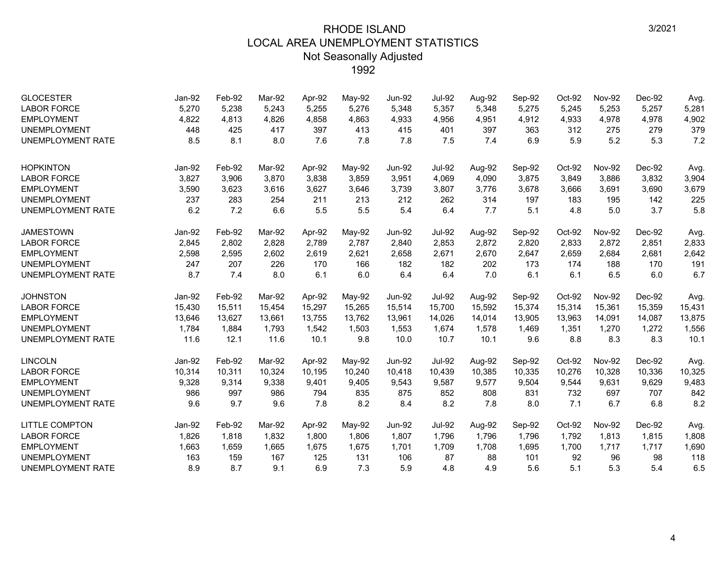| <b>GLOCESTER</b><br><b>LABOR FORCE</b><br><b>EMPLOYMENT</b><br><b>UNEMPLOYMENT</b><br><b>UNEMPLOYMENT RATE</b> | Jan-92<br>5,270<br>4,822<br>448<br>8.5 | Feb-92<br>5,238<br>4,813<br>425<br>8.1 | Mar-92<br>5,243<br>4,826<br>417<br>8.0 | Apr-92<br>5,255<br>4,858<br>397<br>7.6 | May-92<br>5,276<br>4,863<br>413<br>7.8 | <b>Jun-92</b><br>5,348<br>4,933<br>415<br>7.8 | <b>Jul-92</b><br>5,357<br>4,956<br>401<br>7.5 | Aug-92<br>5,348<br>4,951<br>397<br>7.4 | Sep-92<br>5,275<br>4,912<br>363<br>6.9 | Oct-92<br>5,245<br>4,933<br>312<br>5.9 | <b>Nov-92</b><br>5,253<br>4,978<br>275<br>5.2 | Dec-92<br>5,257<br>4,978<br>279<br>5.3 | Avg.<br>5,281<br>4,902<br>379<br>7.2 |
|----------------------------------------------------------------------------------------------------------------|----------------------------------------|----------------------------------------|----------------------------------------|----------------------------------------|----------------------------------------|-----------------------------------------------|-----------------------------------------------|----------------------------------------|----------------------------------------|----------------------------------------|-----------------------------------------------|----------------------------------------|--------------------------------------|
|                                                                                                                |                                        |                                        |                                        |                                        |                                        |                                               |                                               |                                        |                                        |                                        |                                               |                                        |                                      |
| <b>HOPKINTON</b>                                                                                               | Jan-92                                 | Feb-92                                 | Mar-92                                 | Apr-92                                 | May-92                                 | <b>Jun-92</b>                                 | <b>Jul-92</b>                                 | Aug-92                                 | Sep-92                                 | Oct-92                                 | <b>Nov-92</b>                                 | Dec-92                                 | Avg.                                 |
| <b>LABOR FORCE</b>                                                                                             | 3,827                                  | 3,906                                  | 3,870                                  | 3,838                                  | 3,859                                  | 3,951                                         | 4,069                                         | 4,090                                  | 3,875                                  | 3,849                                  | 3,886                                         | 3,832                                  | 3,904                                |
| <b>EMPLOYMENT</b>                                                                                              | 3,590                                  | 3,623                                  | 3,616                                  | 3,627                                  | 3,646                                  | 3,739                                         | 3,807                                         | 3,776                                  | 3,678                                  | 3,666                                  | 3,691                                         | 3,690                                  | 3,679                                |
| <b>UNEMPLOYMENT</b>                                                                                            | 237                                    | 283                                    | 254                                    | 211                                    | 213                                    | 212                                           | 262                                           | 314                                    | 197                                    | 183                                    | 195                                           | 142                                    | 225                                  |
| <b>UNEMPLOYMENT RATE</b>                                                                                       | 6.2                                    | 7.2                                    | 6.6                                    | 5.5                                    | 5.5                                    | 5.4                                           | 6.4                                           | 7.7                                    | 5.1                                    | 4.8                                    | 5.0                                           | 3.7                                    | 5.8                                  |
| <b>JAMESTOWN</b>                                                                                               | Jan-92                                 | Feb-92                                 | Mar-92                                 | Apr-92                                 | May-92                                 | <b>Jun-92</b>                                 | <b>Jul-92</b>                                 | Aug-92                                 | Sep-92                                 | Oct-92                                 | <b>Nov-92</b>                                 | Dec-92                                 | Avg.                                 |
| <b>LABOR FORCE</b>                                                                                             | 2,845                                  | 2,802                                  | 2.828                                  | 2.789                                  | 2,787                                  | 2,840                                         | 2,853                                         | 2,872                                  | 2,820                                  | 2,833                                  | 2,872                                         | 2,851                                  | 2,833                                |
| <b>EMPLOYMENT</b>                                                                                              | 2,598                                  | 2,595                                  | 2,602                                  | 2,619                                  | 2,621                                  | 2,658                                         | 2,671                                         | 2,670                                  | 2,647                                  | 2,659                                  | 2,684                                         | 2,681                                  | 2,642                                |
| <b>UNEMPLOYMENT</b>                                                                                            | 247                                    | 207                                    | 226                                    | 170                                    | 166                                    | 182                                           | 182                                           | 202                                    | 173                                    | 174                                    | 188                                           | 170                                    | 191                                  |
| UNEMPLOYMENT RATE                                                                                              | 8.7                                    | 7.4                                    | 8.0                                    | 6.1                                    | 6.0                                    | 6.4                                           | 6.4                                           | 7.0                                    | 6.1                                    | 6.1                                    | 6.5                                           | 6.0                                    | 6.7                                  |
| <b>JOHNSTON</b>                                                                                                | Jan-92                                 | Feb-92                                 | Mar-92                                 | Apr-92                                 | May-92                                 | <b>Jun-92</b>                                 | <b>Jul-92</b>                                 | Aug-92                                 | Sep-92                                 | Oct-92                                 | <b>Nov-92</b>                                 | Dec-92                                 | Avg.                                 |
| <b>LABOR FORCE</b>                                                                                             | 15,430                                 | 15,511                                 | 15,454                                 | 15,297                                 | 15,265                                 | 15,514                                        | 15,700                                        | 15,592                                 | 15,374                                 | 15,314                                 | 15,361                                        | 15,359                                 | 15,431                               |
| <b>EMPLOYMENT</b>                                                                                              | 13,646                                 | 13,627                                 | 13,661                                 | 13,755                                 | 13.762                                 | 13,961                                        | 14,026                                        | 14,014                                 | 13,905                                 | 13,963                                 | 14,091                                        | 14,087                                 | 13,875                               |
| <b>UNEMPLOYMENT</b>                                                                                            | 1,784                                  | 1,884                                  | 1,793                                  | 1,542                                  | 1,503                                  | 1,553                                         | 1,674                                         | 1,578                                  | 1,469                                  | 1,351                                  | 1,270                                         | 1,272                                  | 1,556                                |
| <b>UNEMPLOYMENT RATE</b>                                                                                       | 11.6                                   | 12.1                                   | 11.6                                   | 10.1                                   | 9.8                                    | 10.0                                          | 10.7                                          | 10.1                                   | 9.6                                    | 8.8                                    | 8.3                                           | 8.3                                    | 10.1                                 |
| <b>LINCOLN</b>                                                                                                 | Jan-92                                 | Feb-92                                 | Mar-92                                 | Apr-92                                 | May-92                                 | <b>Jun-92</b>                                 | <b>Jul-92</b>                                 | Aug-92                                 | Sep-92                                 | Oct-92                                 | <b>Nov-92</b>                                 | Dec-92                                 | Avg.                                 |
| <b>LABOR FORCE</b>                                                                                             | 10,314                                 | 10,311                                 | 10,324                                 | 10,195                                 | 10,240                                 | 10,418                                        | 10,439                                        | 10,385                                 | 10,335                                 | 10,276                                 | 10,328                                        | 10,336                                 | 10,325                               |
| <b>EMPLOYMENT</b>                                                                                              | 9,328                                  | 9,314                                  | 9,338                                  | 9,401                                  | 9,405                                  | 9,543                                         | 9,587                                         | 9,577                                  | 9,504                                  | 9,544                                  | 9,631                                         | 9,629                                  | 9,483                                |
| <b>UNEMPLOYMENT</b>                                                                                            | 986                                    | 997                                    | 986                                    | 794                                    | 835                                    | 875                                           | 852                                           | 808                                    | 831                                    | 732                                    | 697                                           | 707                                    | 842                                  |
| UNEMPLOYMENT RATE                                                                                              | 9.6                                    | 9.7                                    | 9.6                                    | 7.8                                    | 8.2                                    | 8.4                                           | 8.2                                           | 7.8                                    | 8.0                                    | 7.1                                    | 6.7                                           | 6.8                                    | 8.2                                  |
| <b>LITTLE COMPTON</b>                                                                                          | Jan-92                                 | Feb-92                                 | Mar-92                                 | Apr-92                                 | May-92                                 | <b>Jun-92</b>                                 | <b>Jul-92</b>                                 | Aug-92                                 | Sep-92                                 | Oct-92                                 | <b>Nov-92</b>                                 | Dec-92                                 | Avg.                                 |
| <b>LABOR FORCE</b>                                                                                             | 1,826                                  | 1,818                                  | 1,832                                  | 1,800                                  | 1,806                                  | 1,807                                         | 1,796                                         | 1,796                                  | 1,796                                  | 1,792                                  | 1,813                                         | 1,815                                  | 1,808                                |
| <b>EMPLOYMENT</b>                                                                                              | 1,663                                  | 1,659                                  | 1,665                                  | 1,675                                  | 1,675                                  | 1,701                                         | 1,709                                         | 1,708                                  | 1,695                                  | 1,700                                  | 1,717                                         | 1,717                                  | 1,690                                |
| <b>UNEMPLOYMENT</b>                                                                                            | 163                                    | 159                                    | 167                                    | 125                                    | 131                                    | 106                                           | 87                                            | 88                                     | 101                                    | 92                                     | 96                                            | 98                                     | 118                                  |
| UNEMPLOYMENT RATE                                                                                              | 8.9                                    | 8.7                                    | 9.1                                    | 6.9                                    | 7.3                                    | 5.9                                           | 4.8                                           | 4.9                                    | 5.6                                    | 5.1                                    | 5.3                                           | 5.4                                    | 6.5                                  |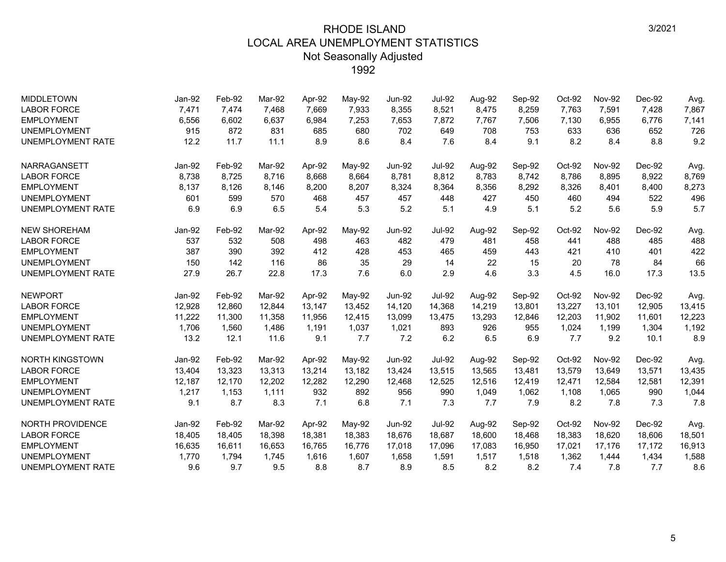| <b>MIDDLETOWN</b>        | Jan-92 | Feb-92 | Mar-92 | Apr-92 | May-92 | <b>Jun-92</b> | <b>Jul-92</b> | Aug-92 | Sep-92 | Oct-92 | <b>Nov-92</b> | Dec-92 | Avg.   |
|--------------------------|--------|--------|--------|--------|--------|---------------|---------------|--------|--------|--------|---------------|--------|--------|
| <b>LABOR FORCE</b>       | 7,471  | 7,474  | 7,468  | 7,669  | 7,933  | 8,355         | 8,521         | 8,475  | 8,259  | 7,763  | 7,591         | 7,428  | 7,867  |
| <b>EMPLOYMENT</b>        | 6,556  | 6,602  | 6,637  | 6,984  | 7,253  | 7,653         | 7,872         | 7,767  | 7,506  | 7,130  | 6,955         | 6,776  | 7,141  |
| <b>UNEMPLOYMENT</b>      | 915    | 872    | 831    | 685    | 680    | 702           | 649           | 708    | 753    | 633    | 636           | 652    | 726    |
| <b>UNEMPLOYMENT RATE</b> | 12.2   | 11.7   | 11.1   | 8.9    | 8.6    | 8.4           | 7.6           | 8.4    | 9.1    | 8.2    | 8.4           | 8.8    | 9.2    |
| NARRAGANSETT             | Jan-92 | Feb-92 | Mar-92 | Apr-92 | May-92 | <b>Jun-92</b> | <b>Jul-92</b> | Aug-92 | Sep-92 | Oct-92 | <b>Nov-92</b> | Dec-92 | Avg.   |
| <b>LABOR FORCE</b>       | 8,738  | 8,725  | 8.716  | 8,668  | 8,664  | 8,781         | 8,812         | 8,783  | 8,742  | 8,786  | 8,895         | 8,922  | 8,769  |
| <b>EMPLOYMENT</b>        | 8,137  | 8,126  | 8,146  | 8,200  | 8,207  | 8,324         | 8,364         | 8,356  | 8,292  | 8,326  | 8,401         | 8,400  | 8,273  |
| <b>UNEMPLOYMENT</b>      | 601    | 599    | 570    | 468    | 457    | 457           | 448           | 427    | 450    | 460    | 494           | 522    | 496    |
| UNEMPLOYMENT RATE        | 6.9    | 6.9    | 6.5    | 5.4    | 5.3    | 5.2           | 5.1           | 4.9    | 5.1    | 5.2    | 5.6           | 5.9    | 5.7    |
| <b>NEW SHOREHAM</b>      | Jan-92 | Feb-92 | Mar-92 | Apr-92 | May-92 | <b>Jun-92</b> | <b>Jul-92</b> | Aug-92 | Sep-92 | Oct-92 | <b>Nov-92</b> | Dec-92 | Avg.   |
| <b>LABOR FORCE</b>       | 537    | 532    | 508    | 498    | 463    | 482           | 479           | 481    | 458    | 441    | 488           | 485    | 488    |
| <b>EMPLOYMENT</b>        | 387    | 390    | 392    | 412    | 428    | 453           | 465           | 459    | 443    | 421    | 410           | 401    | 422    |
| <b>UNEMPLOYMENT</b>      | 150    | 142    | 116    | 86     | 35     | 29            | 14            | 22     | 15     | 20     | 78            | 84     | 66     |
| UNEMPLOYMENT RATE        | 27.9   | 26.7   | 22.8   | 17.3   | 7.6    | 6.0           | 2.9           | 4.6    | 3.3    | 4.5    | 16.0          | 17.3   | 13.5   |
| <b>NEWPORT</b>           | Jan-92 | Feb-92 | Mar-92 | Apr-92 | May-92 | <b>Jun-92</b> | <b>Jul-92</b> | Aug-92 | Sep-92 | Oct-92 | <b>Nov-92</b> | Dec-92 | Avg.   |
| <b>LABOR FORCE</b>       | 12,928 | 12,860 | 12,844 | 13,147 | 13,452 | 14,120        | 14,368        | 14,219 | 13,801 | 13,227 | 13,101        | 12,905 | 13,415 |
| <b>EMPLOYMENT</b>        | 11,222 | 11,300 | 11,358 | 11,956 | 12,415 | 13,099        | 13,475        | 13,293 | 12,846 | 12,203 | 11,902        | 11,601 | 12,223 |
| <b>UNEMPLOYMENT</b>      | 1,706  | 1,560  | 1,486  | 1,191  | 1,037  | 1,021         | 893           | 926    | 955    | 1,024  | 1,199         | 1,304  | 1,192  |
| <b>UNEMPLOYMENT RATE</b> | 13.2   | 12.1   | 11.6   | 9.1    | 7.7    | 7.2           | 6.2           | 6.5    | 6.9    | 7.7    | 9.2           | 10.1   | 8.9    |
| <b>NORTH KINGSTOWN</b>   | Jan-92 | Feb-92 | Mar-92 | Apr-92 | May-92 | <b>Jun-92</b> | <b>Jul-92</b> | Aug-92 | Sep-92 | Oct-92 | <b>Nov-92</b> | Dec-92 | Avg.   |
| <b>LABOR FORCE</b>       | 13,404 | 13,323 | 13,313 | 13,214 | 13,182 | 13,424        | 13,515        | 13,565 | 13,481 | 13,579 | 13,649        | 13,571 | 13,435 |
| <b>EMPLOYMENT</b>        | 12.187 | 12,170 | 12.202 | 12,282 | 12,290 | 12,468        | 12,525        | 12,516 | 12,419 | 12,471 | 12,584        | 12,581 | 12,391 |
| <b>UNEMPLOYMENT</b>      | 1,217  | 1,153  | 1,111  | 932    | 892    | 956           | 990           | 1,049  | 1,062  | 1,108  | 1,065         | 990    | 1,044  |
| <b>UNEMPLOYMENT RATE</b> | 9.1    | 8.7    | 8.3    | 7.1    | 6.8    | 7.1           | 7.3           | 7.7    | 7.9    | 8.2    | 7.8           | 7.3    | 7.8    |
| <b>NORTH PROVIDENCE</b>  | Jan-92 | Feb-92 | Mar-92 | Apr-92 | May-92 | <b>Jun-92</b> | <b>Jul-92</b> | Aug-92 | Sep-92 | Oct-92 | <b>Nov-92</b> | Dec-92 | Avg.   |
| <b>LABOR FORCE</b>       | 18,405 | 18,405 | 18,398 | 18,381 | 18,383 | 18,676        | 18,687        | 18,600 | 18,468 | 18,383 | 18,620        | 18,606 | 18,501 |
| <b>EMPLOYMENT</b>        | 16,635 | 16,611 | 16,653 | 16,765 | 16,776 | 17,018        | 17,096        | 17,083 | 16,950 | 17,021 | 17,176        | 17,172 | 16,913 |
| <b>UNEMPLOYMENT</b>      | 1,770  | 1,794  | 1,745  | 1,616  | 1,607  | 1,658         | 1,591         | 1,517  | 1,518  | 1,362  | 1,444         | 1,434  | 1,588  |
| <b>UNEMPLOYMENT RATE</b> | 9.6    | 9.7    | 9.5    | 8.8    | 8.7    | 8.9           | 8.5           | 8.2    | 8.2    | 7.4    | 7.8           | 7.7    | 8.6    |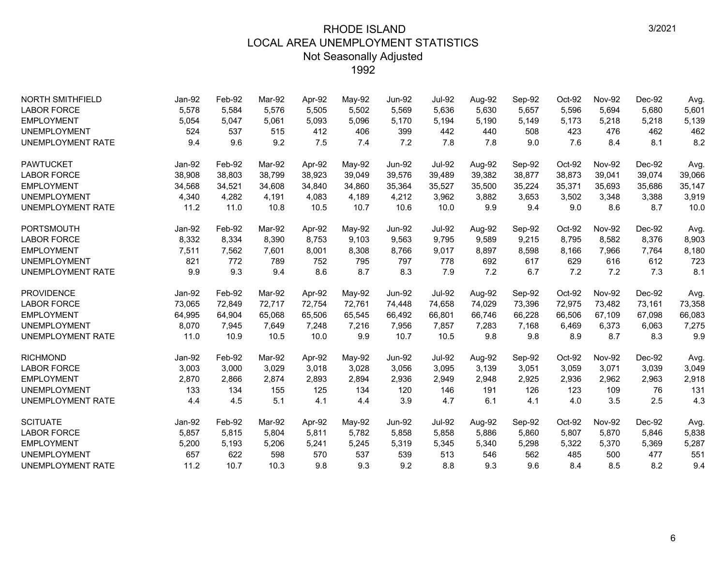| <b>NORTH SMITHFIELD</b>  | Jan-92 | Feb-92 | Mar-92 | Apr-92 | May-92 | <b>Jun-92</b> | <b>Jul-92</b> | Aug-92 | Sep-92 | Oct-92 | <b>Nov-92</b> | Dec-92 | Avg.   |
|--------------------------|--------|--------|--------|--------|--------|---------------|---------------|--------|--------|--------|---------------|--------|--------|
| <b>LABOR FORCE</b>       | 5,578  | 5,584  | 5.576  | 5,505  | 5,502  | 5,569         | 5,636         | 5,630  | 5,657  | 5,596  | 5,694         | 5,680  | 5,601  |
| <b>EMPLOYMENT</b>        | 5,054  | 5,047  | 5,061  | 5,093  | 5,096  | 5,170         | 5,194         | 5,190  | 5,149  | 5,173  | 5,218         | 5,218  | 5,139  |
| <b>UNEMPLOYMENT</b>      | 524    | 537    | 515    | 412    | 406    | 399           | 442           | 440    | 508    | 423    | 476           | 462    | 462    |
| <b>UNEMPLOYMENT RATE</b> | 9.4    | 9.6    | 9.2    | 7.5    | 7.4    | 7.2           | 7.8           | 7.8    | 9.0    | 7.6    | 8.4           | 8.1    | 8.2    |
| <b>PAWTUCKET</b>         | Jan-92 | Feb-92 | Mar-92 | Apr-92 | May-92 | <b>Jun-92</b> | <b>Jul-92</b> | Aug-92 | Sep-92 | Oct-92 | <b>Nov-92</b> | Dec-92 | Avg.   |
| <b>LABOR FORCE</b>       | 38,908 | 38,803 | 38,799 | 38,923 | 39,049 | 39,576        | 39,489        | 39,382 | 38,877 | 38,873 | 39,041        | 39,074 | 39,066 |
| <b>EMPLOYMENT</b>        | 34,568 | 34,521 | 34,608 | 34,840 | 34,860 | 35,364        | 35,527        | 35,500 | 35,224 | 35,371 | 35,693        | 35,686 | 35,147 |
| <b>UNEMPLOYMENT</b>      | 4,340  | 4,282  | 4,191  | 4,083  | 4,189  | 4,212         | 3,962         | 3,882  | 3,653  | 3,502  | 3,348         | 3,388  | 3,919  |
| <b>UNEMPLOYMENT RATE</b> | 11.2   | 11.0   | 10.8   | 10.5   | 10.7   | 10.6          | 10.0          | 9.9    | 9.4    | 9.0    | 8.6           | 8.7    | 10.0   |
| PORTSMOUTH               | Jan-92 | Feb-92 | Mar-92 | Apr-92 | May-92 | <b>Jun-92</b> | <b>Jul-92</b> | Aug-92 | Sep-92 | Oct-92 | <b>Nov-92</b> | Dec-92 | Avg.   |
| <b>LABOR FORCE</b>       | 8,332  | 8,334  | 8,390  | 8,753  | 9,103  | 9,563         | 9,795         | 9,589  | 9,215  | 8,795  | 8,582         | 8,376  | 8,903  |
| <b>EMPLOYMENT</b>        | 7,511  | 7,562  | 7,601  | 8,001  | 8,308  | 8,766         | 9,017         | 8,897  | 8,598  | 8,166  | 7,966         | 7,764  | 8,180  |
| <b>UNEMPLOYMENT</b>      | 821    | 772    | 789    | 752    | 795    | 797           | 778           | 692    | 617    | 629    | 616           | 612    | 723    |
| <b>UNEMPLOYMENT RATE</b> | 9.9    | 9.3    | 9.4    | 8.6    | 8.7    | 8.3           | 7.9           | 7.2    | 6.7    | 7.2    | 7.2           | 7.3    | 8.1    |
| <b>PROVIDENCE</b>        | Jan-92 | Feb-92 | Mar-92 | Apr-92 | May-92 | <b>Jun-92</b> | <b>Jul-92</b> | Aug-92 | Sep-92 | Oct-92 | <b>Nov-92</b> | Dec-92 | Avg.   |
| <b>LABOR FORCE</b>       | 73,065 | 72,849 | 72,717 | 72,754 | 72,761 | 74,448        | 74,658        | 74,029 | 73,396 | 72,975 | 73,482        | 73,161 | 73,358 |
| <b>EMPLOYMENT</b>        | 64,995 | 64,904 | 65,068 | 65,506 | 65,545 | 66,492        | 66,801        | 66,746 | 66,228 | 66,506 | 67,109        | 67,098 | 66,083 |
| <b>UNEMPLOYMENT</b>      | 8,070  | 7,945  | 7,649  | 7,248  | 7,216  | 7,956         | 7,857         | 7,283  | 7.168  | 6,469  | 6,373         | 6,063  | 7,275  |
| <b>UNEMPLOYMENT RATE</b> | 11.0   | 10.9   | 10.5   | 10.0   | 9.9    | 10.7          | 10.5          | 9.8    | 9.8    | 8.9    | 8.7           | 8.3    | 9.9    |
| <b>RICHMOND</b>          | Jan-92 | Feb-92 | Mar-92 | Apr-92 | May-92 | <b>Jun-92</b> | <b>Jul-92</b> | Aug-92 | Sep-92 | Oct-92 | <b>Nov-92</b> | Dec-92 | Avg.   |
| <b>LABOR FORCE</b>       | 3,003  | 3,000  | 3,029  | 3,018  | 3,028  | 3,056         | 3,095         | 3,139  | 3,051  | 3,059  | 3,071         | 3,039  | 3,049  |
| <b>EMPLOYMENT</b>        | 2,870  | 2,866  | 2,874  | 2,893  | 2,894  | 2,936         | 2,949         | 2,948  | 2,925  | 2,936  | 2,962         | 2,963  | 2,918  |
| <b>UNEMPLOYMENT</b>      | 133    | 134    | 155    | 125    | 134    | 120           | 146           | 191    | 126    | 123    | 109           | 76     | 131    |
| <b>UNEMPLOYMENT RATE</b> | 4.4    | 4.5    | 5.1    | 4.1    | 4.4    | 3.9           | 4.7           | 6.1    | 4.1    | 4.0    | 3.5           | 2.5    | 4.3    |
| <b>SCITUATE</b>          | Jan-92 | Feb-92 | Mar-92 | Apr-92 | May-92 | <b>Jun-92</b> | <b>Jul-92</b> | Aug-92 | Sep-92 | Oct-92 | <b>Nov-92</b> | Dec-92 | Avg.   |
| <b>LABOR FORCE</b>       | 5,857  | 5,815  | 5,804  | 5,811  | 5,782  | 5,858         | 5,858         | 5,886  | 5,860  | 5,807  | 5,870         | 5,846  | 5,838  |
| <b>EMPLOYMENT</b>        | 5,200  | 5,193  | 5,206  | 5,241  | 5,245  | 5,319         | 5,345         | 5,340  | 5,298  | 5,322  | 5,370         | 5,369  | 5,287  |
| <b>UNEMPLOYMENT</b>      | 657    | 622    | 598    | 570    | 537    | 539           | 513           | 546    | 562    | 485    | 500           | 477    | 551    |
| <b>UNEMPLOYMENT RATE</b> | 11.2   | 10.7   | 10.3   | 9.8    | 9.3    | 9.2           | 8.8           | 9.3    | 9.6    | 8.4    | 8.5           | 8.2    | 9.4    |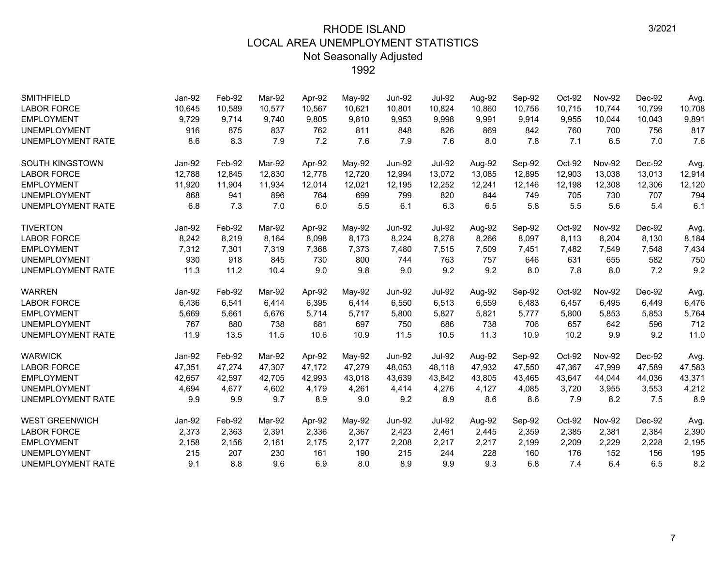| <b>SMITHFIELD</b><br><b>LABOR FORCE</b> | Jan-92<br>10,645 | Feb-92<br>10,589 | Mar-92<br>10,577 | Apr-92<br>10,567 | May-92<br>10,621 | <b>Jun-92</b><br>10,801 | <b>Jul-92</b><br>10,824 | Aug-92<br>10,860 | Sep-92<br>10,756 | Oct-92<br>10,715 | <b>Nov-92</b><br>10,744 | Dec-92<br>10.799 | Avg.<br>10,708 |
|-----------------------------------------|------------------|------------------|------------------|------------------|------------------|-------------------------|-------------------------|------------------|------------------|------------------|-------------------------|------------------|----------------|
| <b>EMPLOYMENT</b>                       | 9,729            | 9,714            | 9,740            | 9,805            | 9,810            | 9,953                   | 9,998                   | 9,991            | 9,914            | 9,955            | 10,044                  | 10,043           | 9,891          |
| <b>UNEMPLOYMENT</b>                     | 916              | 875              | 837              | 762              | 811              | 848                     | 826                     | 869              | 842              | 760              | 700                     | 756              | 817            |
| <b>UNEMPLOYMENT RATE</b>                | 8.6              | 8.3              | 7.9              | 7.2              | 7.6              | 7.9                     | 7.6                     | 8.0              | 7.8              | 7.1              | 6.5                     | 7.0              | 7.6            |
| <b>SOUTH KINGSTOWN</b>                  | Jan-92           | Feb-92           | Mar-92           | Apr-92           | May-92           | <b>Jun-92</b>           | <b>Jul-92</b>           | Aug-92           | Sep-92           | Oct-92           | <b>Nov-92</b>           | Dec-92           | Avg.           |
| <b>LABOR FORCE</b>                      | 12,788           | 12,845           | 12,830           | 12,778           | 12,720           | 12,994                  | 13,072                  | 13,085           | 12,895           | 12,903           | 13,038                  | 13,013           | 12,914         |
| <b>EMPLOYMENT</b>                       | 11,920           | 11,904           | 11,934           | 12,014           | 12,021           | 12,195                  | 12,252                  | 12,241           | 12,146           | 12,198           | 12,308                  | 12,306           | 12,120         |
| <b>UNEMPLOYMENT</b>                     | 868              | 941              | 896              | 764              | 699              | 799                     | 820                     | 844              | 749              | 705              | 730                     | 707              | 794            |
| <b>UNEMPLOYMENT RATE</b>                | 6.8              | 7.3              | 7.0              | 6.0              | 5.5              | 6.1                     | 6.3                     | 6.5              | 5.8              | 5.5              | 5.6                     | 5.4              | 6.1            |
| <b>TIVERTON</b>                         | Jan-92           | Feb-92           | Mar-92           | Apr-92           | May-92           | <b>Jun-92</b>           | <b>Jul-92</b>           | Aug-92           | Sep-92           | Oct-92           | <b>Nov-92</b>           | Dec-92           | Avg.           |
| <b>LABOR FORCE</b>                      | 8,242            | 8,219            | 8.164            | 8,098            | 8,173            | 8,224                   | 8,278                   | 8,266            | 8,097            | 8,113            | 8,204                   | 8,130            | 8,184          |
| <b>EMPLOYMENT</b>                       | 7,312            | 7,301            | 7,319            | 7,368            | 7,373            | 7,480                   | 7,515                   | 7,509            | 7,451            | 7,482            | 7,549                   | 7,548            | 7,434          |
| <b>UNEMPLOYMENT</b>                     | 930              | 918              | 845              | 730              | 800              | 744                     | 763                     | 757              | 646              | 631              | 655                     | 582              | 750            |
| <b>UNEMPLOYMENT RATE</b>                | 11.3             | 11.2             | 10.4             | 9.0              | 9.8              | 9.0                     | 9.2                     | 9.2              | 8.0              | 7.8              | 8.0                     | 7.2              | 9.2            |
| <b>WARREN</b>                           | Jan-92           | Feb-92           | Mar-92           | Apr-92           | May-92           | <b>Jun-92</b>           | <b>Jul-92</b>           | Aug-92           | Sep-92           | Oct-92           | <b>Nov-92</b>           | Dec-92           | Avg.           |
| <b>LABOR FORCE</b>                      | 6,436            | 6,541            | 6.414            | 6,395            | 6,414            | 6,550                   | 6,513                   | 6,559            | 6,483            | 6,457            | 6,495                   | 6,449            | 6,476          |
| <b>EMPLOYMENT</b>                       | 5,669            | 5,661            | 5,676            | 5,714            | 5,717            | 5,800                   | 5,827                   | 5,821            | 5,777            | 5,800            | 5,853                   | 5,853            | 5,764          |
| <b>UNEMPLOYMENT</b>                     | 767              | 880              | 738              | 681              | 697              | 750                     | 686                     | 738              | 706              | 657              | 642                     | 596              | 712            |
| <b>UNEMPLOYMENT RATE</b>                | 11.9             | 13.5             | 11.5             | 10.6             | 10.9             | 11.5                    | 10.5                    | 11.3             | 10.9             | 10.2             | 9.9                     | 9.2              | 11.0           |
| <b>WARWICK</b>                          | Jan-92           | Feb-92           | Mar-92           | Apr-92           | May-92           | <b>Jun-92</b>           | <b>Jul-92</b>           | Aug-92           | Sep-92           | Oct-92           | <b>Nov-92</b>           | Dec-92           | Avg.           |
| <b>LABOR FORCE</b>                      | 47,351           | 47,274           | 47,307           | 47,172           | 47,279           | 48,053                  | 48,118                  | 47,932           | 47,550           | 47,367           | 47,999                  | 47,589           | 47,583         |
| <b>EMPLOYMENT</b>                       | 42,657           | 42.597           | 42.705           | 42,993           | 43,018           | 43.639                  | 43.842                  | 43,805           | 43,465           | 43,647           | 44,044                  | 44,036           | 43,371         |
| <b>UNEMPLOYMENT</b>                     | 4,694            | 4,677            | 4,602            | 4,179            | 4,261            | 4,414                   | 4,276                   | 4,127            | 4,085            | 3,720            | 3,955                   | 3,553            | 4,212          |
| <b>UNEMPLOYMENT RATE</b>                | 9.9              | 9.9              | 9.7              | 8.9              | 9.0              | 9.2                     | 8.9                     | 8.6              | 8.6              | 7.9              | 8.2                     | 7.5              | 8.9            |
| <b>WEST GREENWICH</b>                   | Jan-92           | Feb-92           | Mar-92           | Apr-92           | May-92           | <b>Jun-92</b>           | <b>Jul-92</b>           | Aug-92           | Sep-92           | Oct-92           | <b>Nov-92</b>           | Dec-92           | Avg.           |
| <b>LABOR FORCE</b>                      | 2,373            | 2,363            | 2,391            | 2,336            | 2,367            | 2,423                   | 2,461                   | 2,445            | 2,359            | 2,385            | 2,381                   | 2,384            | 2,390          |
| <b>EMPLOYMENT</b>                       | 2,158            | 2,156            | 2,161            | 2,175            | 2,177            | 2,208                   | 2,217                   | 2,217            | 2,199            | 2,209            | 2,229                   | 2,228            | 2,195          |
| <b>UNEMPLOYMENT</b>                     | 215              | 207              | 230              | 161              | 190              | 215                     | 244                     | 228              | 160              | 176              | 152                     | 156              | 195            |
| <b>UNEMPLOYMENT RATE</b>                | 9.1              | 8.8              | 9.6              | 6.9              | 8.0              | 8.9                     | 9.9                     | 9.3              | 6.8              | 7.4              | 6.4                     | 6.5              | 8.2            |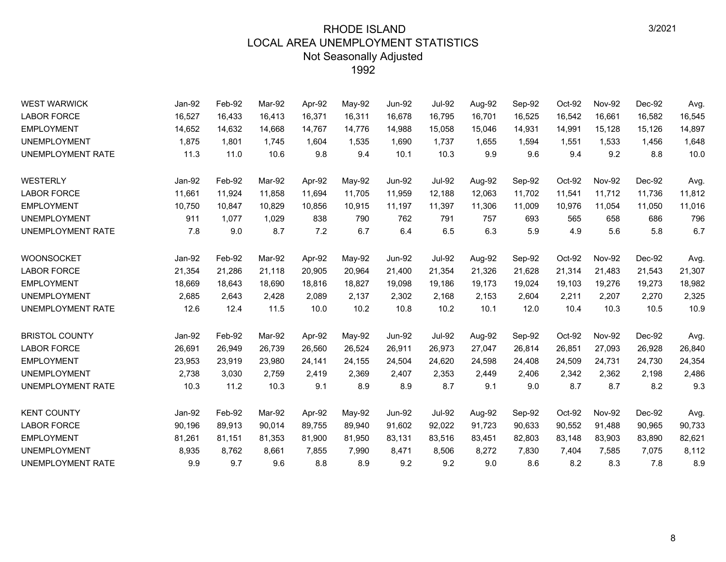| <b>WEST WARWICK</b>      | Jan-92 | Feb-92 | Mar-92 | Apr-92 | May-92 | <b>Jun-92</b> | Jul-92        | Aug-92 | Sep-92 | Oct-92 | <b>Nov-92</b> | Dec-92 | Avg.   |
|--------------------------|--------|--------|--------|--------|--------|---------------|---------------|--------|--------|--------|---------------|--------|--------|
| <b>LABOR FORCE</b>       | 16,527 | 16,433 | 16,413 | 16,371 | 16,311 | 16,678        | 16,795        | 16,701 | 16,525 | 16,542 | 16,661        | 16,582 | 16,545 |
| <b>EMPLOYMENT</b>        | 14,652 | 14,632 | 14,668 | 14,767 | 14,776 | 14,988        | 15,058        | 15,046 | 14,931 | 14,991 | 15,128        | 15,126 | 14,897 |
| <b>UNEMPLOYMENT</b>      | 1,875  | 1,801  | 1,745  | 1,604  | 1,535  | 1,690         | 1,737         | 1,655  | 1,594  | 1,551  | 1,533         | 1,456  | 1,648  |
| UNEMPLOYMENT RATE        | 11.3   | 11.0   | 10.6   | 9.8    | 9.4    | 10.1          | 10.3          | 9.9    | 9.6    | 9.4    | 9.2           | 8.8    | 10.0   |
| WESTERLY                 | Jan-92 | Feb-92 | Mar-92 | Apr-92 | May-92 | <b>Jun-92</b> | <b>Jul-92</b> | Aug-92 | Sep-92 | Oct-92 | <b>Nov-92</b> | Dec-92 | Avg.   |
| <b>LABOR FORCE</b>       | 11,661 | 11,924 | 11,858 | 11,694 | 11,705 | 11,959        | 12,188        | 12,063 | 11,702 | 11,541 | 11,712        | 11,736 | 11,812 |
| <b>EMPLOYMENT</b>        | 10,750 | 10,847 | 10.829 | 10,856 | 10,915 | 11,197        | 11,397        | 11,306 | 11,009 | 10,976 | 11,054        | 11,050 | 11,016 |
| <b>UNEMPLOYMENT</b>      | 911    | 1,077  | 1.029  | 838    | 790    | 762           | 791           | 757    | 693    | 565    | 658           | 686    | 796    |
| UNEMPLOYMENT RATE        | 7.8    | 9.0    | 8.7    | 7.2    | 6.7    | 6.4           | 6.5           | 6.3    | 5.9    | 4.9    | 5.6           | 5.8    | 6.7    |
| <b>WOONSOCKET</b>        | Jan-92 | Feb-92 | Mar-92 | Apr-92 | May-92 | <b>Jun-92</b> | <b>Jul-92</b> | Aug-92 | Sep-92 | Oct-92 | <b>Nov-92</b> | Dec-92 | Avg.   |
| <b>LABOR FORCE</b>       | 21,354 | 21,286 | 21,118 | 20,905 | 20,964 | 21,400        | 21,354        | 21,326 | 21,628 | 21,314 | 21,483        | 21,543 | 21,307 |
| <b>EMPLOYMENT</b>        | 18,669 | 18,643 | 18.690 | 18.816 | 18.827 | 19,098        | 19.186        | 19,173 | 19,024 | 19.103 | 19.276        | 19,273 | 18,982 |
| <b>UNEMPLOYMENT</b>      | 2,685  | 2,643  | 2,428  | 2,089  | 2,137  | 2,302         | 2,168         | 2,153  | 2,604  | 2,211  | 2,207         | 2,270  | 2,325  |
| UNEMPLOYMENT RATE        | 12.6   | 12.4   | 11.5   | 10.0   | 10.2   | 10.8          | 10.2          | 10.1   | 12.0   | 10.4   | 10.3          | 10.5   | 10.9   |
| <b>BRISTOL COUNTY</b>    | Jan-92 | Feb-92 | Mar-92 | Apr-92 | May-92 | <b>Jun-92</b> | <b>Jul-92</b> | Aug-92 | Sep-92 | Oct-92 | <b>Nov-92</b> | Dec-92 | Avg.   |
| <b>LABOR FORCE</b>       | 26,691 | 26,949 | 26,739 | 26,560 | 26,524 | 26,911        | 26,973        | 27,047 | 26,814 | 26,851 | 27,093        | 26,928 | 26,840 |
| <b>EMPLOYMENT</b>        | 23,953 | 23,919 | 23,980 | 24,141 | 24,155 | 24,504        | 24,620        | 24,598 | 24,408 | 24,509 | 24,731        | 24,730 | 24,354 |
| <b>UNEMPLOYMENT</b>      | 2,738  | 3,030  | 2,759  | 2,419  | 2,369  | 2,407         | 2,353         | 2,449  | 2,406  | 2,342  | 2,362         | 2,198  | 2,486  |
| <b>UNEMPLOYMENT RATE</b> | 10.3   | 11.2   | 10.3   | 9.1    | 8.9    | 8.9           | 8.7           | 9.1    | 9.0    | 8.7    | 8.7           | 8.2    | 9.3    |
| <b>KENT COUNTY</b>       | Jan-92 | Feb-92 | Mar-92 | Apr-92 | May-92 | <b>Jun-92</b> | <b>Jul-92</b> | Aug-92 | Sep-92 | Oct-92 | <b>Nov-92</b> | Dec-92 | Avg.   |
| <b>LABOR FORCE</b>       | 90,196 | 89,913 | 90,014 | 89,755 | 89,940 | 91,602        | 92,022        | 91,723 | 90,633 | 90,552 | 91,488        | 90,965 | 90,733 |
| <b>EMPLOYMENT</b>        | 81,261 | 81,151 | 81,353 | 81,900 | 81,950 | 83,131        | 83,516        | 83,451 | 82,803 | 83,148 | 83,903        | 83,890 | 82,621 |
| <b>UNEMPLOYMENT</b>      | 8,935  | 8,762  | 8,661  | 7,855  | 7,990  | 8,471         | 8,506         | 8,272  | 7,830  | 7,404  | 7,585         | 7,075  | 8,112  |
| UNEMPLOYMENT RATE        | 9.9    | 9.7    | 9.6    | 8.8    | 8.9    | 9.2           | 9.2           | 9.0    | 8.6    | 8.2    | 8.3           | 7.8    | 8.9    |